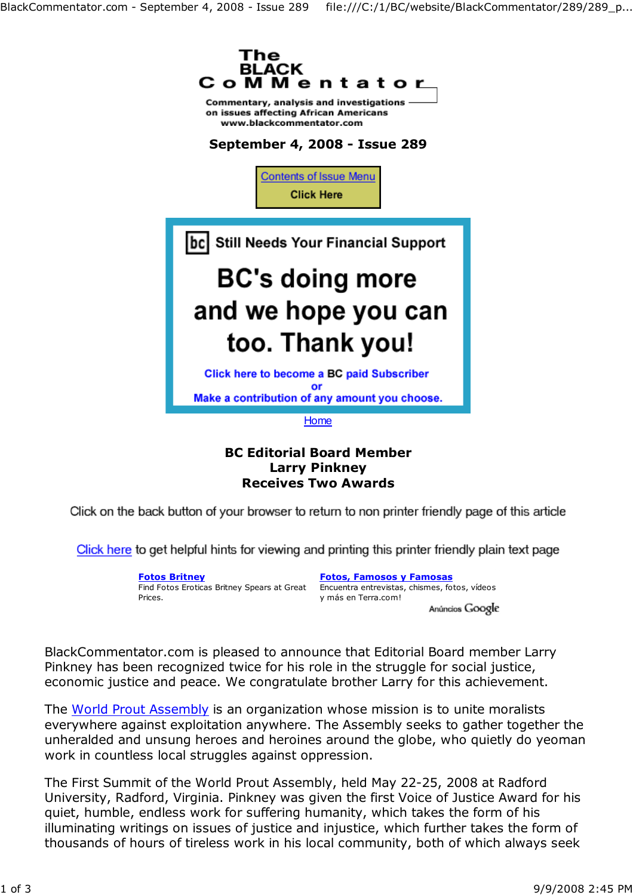

**BC Editorial Board Member Larry Pinkney Receives Two Awards**

Click on the back button of your browser to return to non printer friendly page of this article

Click here to get helpful hints for viewing and printing this printer friendly plain text page

**Fotos Britney** Prices.

Find Fotos Eroticas Britney Spears at Great Encuentra entrevistas, chismes, fotos, vídeos **Fotos, Famosos y Famosas** y más en Terra.com! Anúncios Google

BlackCommentator.com is pleased to announce that Editorial Board member Larry Pinkney has been recognized twice for his role in the struggle for social justice, economic justice and peace. We congratulate brother Larry for this achievement.

The World Prout Assembly is an organization whose mission is to unite moralists everywhere against exploitation anywhere. The Assembly seeks to gather together the unheralded and unsung heroes and heroines around the globe, who quietly do yeoman work in countless local struggles against oppression.

The First Summit of the World Prout Assembly, held May 22-25, 2008 at Radford University, Radford, Virginia. Pinkney was given the first Voice of Justice Award for his quiet, humble, endless work for suffering humanity, which takes the form of his illuminating writings on issues of justice and injustice, which further takes the form of thousands of hours of tireless work in his local community, both of which always seek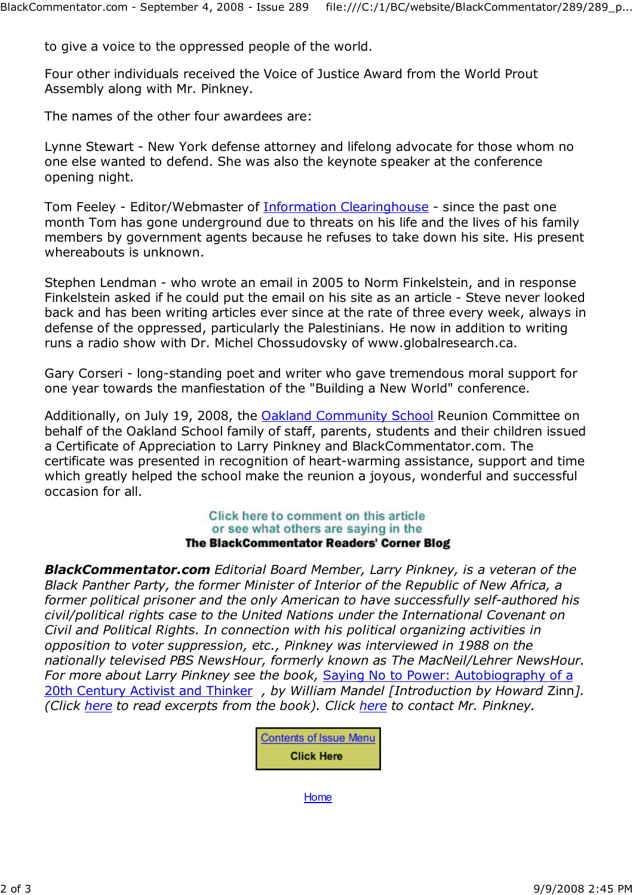to give a voice to the oppressed people of the world.

Four other individuals received the Voice of Justice Award from the World Prout Assembly along with Mr. Pinkney.

The names of the other four awardees are:

Lynne Stewart - New York defense attorney and lifelong advocate for those whom no one else wanted to defend. She was also the keynote speaker at the conference opening night.

Tom Feeley - Editor/Webmaster of Information Clearinghouse - since the past one month Tom has gone underground due to threats on his life and the lives of his family members by government agents because he refuses to take down his site. His present whereabouts is unknown.

Stephen Lendman - who wrote an email in 2005 to Norm Finkelstein, and in response Finkelstein asked if he could put the email on his site as an article - Steve never looked back and has been writing articles ever since at the rate of three every week, always in defense of the oppressed, particularly the Palestinians. He now in addition to writing runs a radio show with Dr. Michel Chossudovsky of www.globalresearch.ca.

Gary Corseri - long-standing poet and writer who gave tremendous moral support for one year towards the manfiestation of the "Building a New World" conference.

Additionally, on July 19, 2008, the Oakland Community School Reunion Committee on behalf of the Oakland School family of staff, parents, students and their children issued a Certificate of Appreciation to Larry Pinkney and BlackCommentator.com. The certificate was presented in recognition of heart-warming assistance, support and time which greatly helped the school make the reunion a joyous, wonderful and successful occasion for all.

## Click here to comment on this article or see what others are saying in the **The BlackCommentator Readers' Corner Blog**

*BlackCommentator.com Editorial Board Member, Larry Pinkney, is a veteran of the Black Panther Party, the former Minister of Interior of the Republic of New Africa, a former political prisoner and the only American to have successfully self-authored his civil/political rights case to the United Nations under the International Covenant on Civil and Political Rights. In connection with his political organizing activities in opposition to voter suppression, etc., Pinkney was interviewed in 1988 on the nationally televised PBS NewsHour, formerly known as The MacNeil/Lehrer NewsHour. For more about Larry Pinkney see the book,* Saying No to Power: Autobiography of a 20th Century Activist and Thinker *, by William Mandel [Introduction by Howard* Zinn*]. (Click here to read excerpts from the book). Click here to contact Mr. Pinkney.*



Home